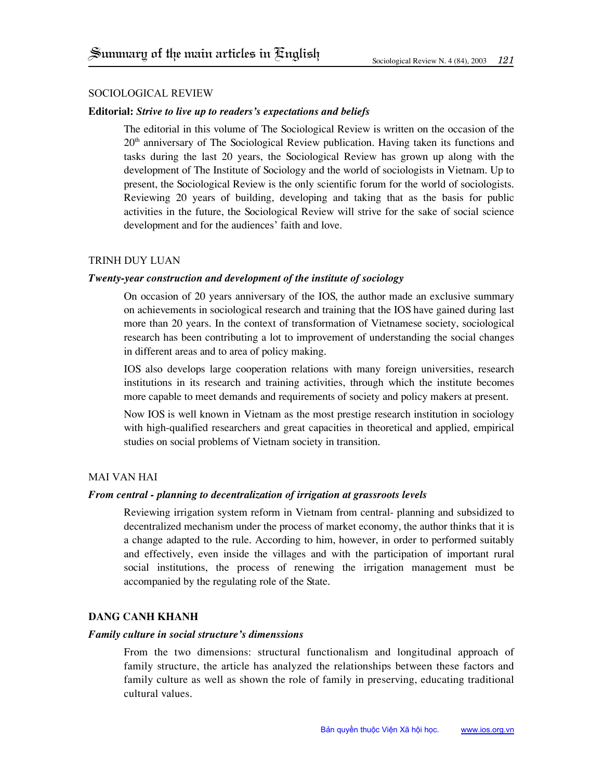# Sociological Review

# **Editorial:** *Strive to live up to readers's expectations and beliefs*

The editorial in this volume of The Sociological Review is written on the occasion of the  $20<sup>th</sup>$  anniversary of The Sociological Review publication. Having taken its functions and tasks during the last 20 years, the Sociological Review has grown up along with the development of The Institute of Sociology and the world of sociologists in Vietnam. Up to present, the Sociological Review is the only scientific forum for the world of sociologists. Reviewing 20 years of building, developing and taking that as the basis for public activities in the future, the Sociological Review will strive for the sake of social science development and for the audiences' faith and love.

### Trinh duy luan

## *Twenty-year construction and development of the institute of sociology*

On occasion of 20 years anniversary of the IOS, the author made an exclusive summary on achievements in sociological research and training that the IOS have gained during last more than 20 years. In the context of transformation of Vietnamese society, sociological research has been contributing a lot to improvement of understanding the social changes in different areas and to area of policy making.

IoS also develops large cooperation relations with many foreign universities, research institutions in its research and training activities, through which the institute becomes more capable to meet demands and requirements of society and policy makers at present.

Now IOS is well known in Vietnam as the most prestige research institution in sociology with high-qualified researchers and great capacities in theoretical and applied, empirical studies on social problems of Vietnam society in transition.

# Mai Van Hai

# *From central - planning to decentralization of irrigation at grassroots levels*

Reviewing irrigation system reform in Vietnam from central- planning and subsidized to decentralized mechanism under the process of market economy, the author thinks that it is a change adapted to the rule. According to him, however, in order to performed suitably and effectively, even inside the villages and with the participation of important rural social institutions, the process of renewing the irrigation management must be accompanied by the regulating role of the State.

# **Dang Canh Khanh**

# *Family culture in social structure's dimenssions*

From the two dimensions: structural functionalism and longitudinal approach of family structure, the article has analyzed the relationships between these factors and family culture as well as shown the role of family in preserving, educating traditional cultural values.